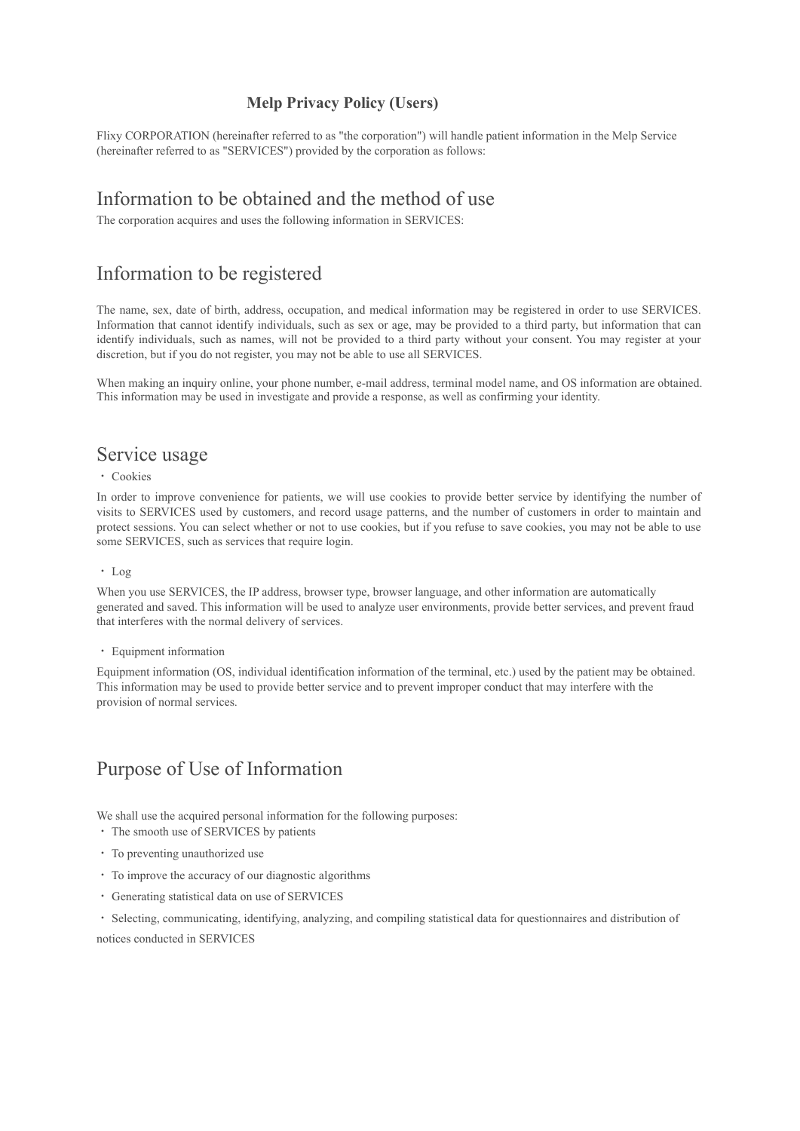## **Melp Privacy Policy (Users)**

Flixy CORPORATION (hereinafter referred to as "the corporation") will handle patient information in the Melp Service (hereinafter referred to as "SERVICES") provided by the corporation as follows:

# Information to be obtained and the method of use

The corporation acquires and uses the following information in SERVICES:

# Information to be registered

The name, sex, date of birth, address, occupation, and medical information may be registered in order to use SERVICES. Information that cannot identify individuals, such as sex or age, may be provided to a third party, but information that can identify individuals, such as names, will not be provided to a third party without your consent. You may register at your discretion, but if you do not register, you may not be able to use all SERVICES.

When making an inquiry online, your phone number, e-mail address, terminal model name, and OS information are obtained. This information may be used in investigate and provide a response, as well as confirming your identity.

## Service usage

#### ・ Cookies

In order to improve convenience for patients, we will use cookies to provide better service by identifying the number of visits to SERVICES used by customers, and record usage patterns, and the number of customers in order to maintain and protect sessions. You can select whether or not to use cookies, but if you refuse to save cookies, you may not be able to use some SERVICES, such as services that require login.

#### ・ Log

When you use SERVICES, the IP address, browser type, browser language, and other information are automatically generated and saved. This information will be used to analyze user environments, provide better services, and prevent fraud that interferes with the normal delivery of services.

#### ・ Equipment information

Equipment information (OS, individual identification information of the terminal, etc.) used by the patient may be obtained. This information may be used to provide better service and to prevent improper conduct that may interfere with the provision of normal services.

# Purpose of Use of Information

We shall use the acquired personal information for the following purposes:

- ・ The smooth use of SERVICES by patients
- ・ To preventing unauthorized use
- ・ To improve the accuracy of our diagnostic algorithms
- ・ Generating statistical data on use of SERVICES
- ・ Selecting, communicating, identifying, analyzing, and compiling statistical data for questionnaires and distribution of

notices conducted in SERVICES